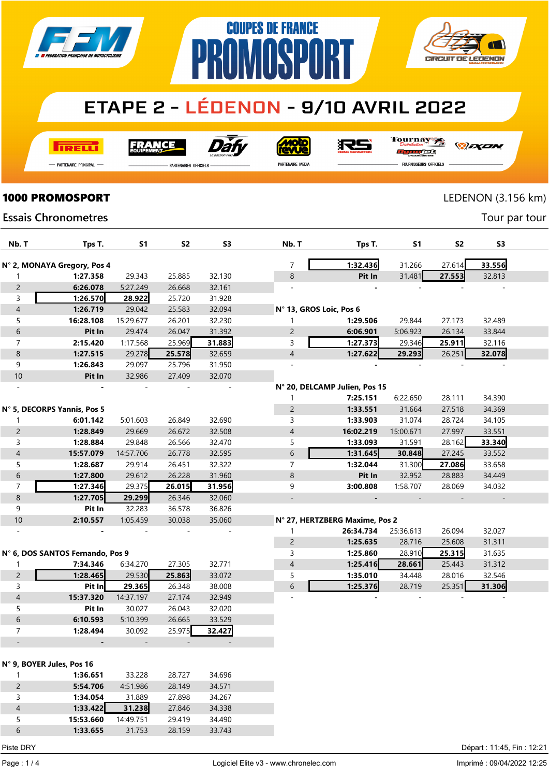

### **ETAPE 2 - LÉDENON - 9/10 AVRIL 2022**

**COUPES DE FRANCE** 

**PROMOSPORT** 

**TRELLI** 

**FRANCE** 



**Moto**<br>ANG

沢ら

Tournay 

*DEXEN* 

**CIRCUIT DE LEDENON** 

- Partenaire Principal

**PARTENAIRES OFFICIELS** 

PARTENAIRE MEDIA

FOURNISSEURS OFFICIELS

# **1000 PROMOSPORT** LEDENON (3.156 km)

 $\overline{\mathcal{N}}$ 

Tour par tour

### **Essais Chronometres**

| Nb. T                         | Tps T.                           | S1                  | <b>S2</b>        | S <sub>3</sub>   | Nb. T                    | Tps T.                         | S1        | S2     | S <sub>3</sub> |  |
|-------------------------------|----------------------------------|---------------------|------------------|------------------|--------------------------|--------------------------------|-----------|--------|----------------|--|
|                               |                                  |                     |                  |                  |                          |                                |           |        |                |  |
|                               | N° 2, MONAYA Gregory, Pos 4      |                     |                  |                  | 7                        | 1:32.436                       | 31.266    | 27.614 | 33.556         |  |
| 1                             | 1:27.358                         | 29.343              | 25.885           | 32.130           | 8                        | Pit In                         | 31.481    | 27.553 | 32.813         |  |
| $\overline{c}$                | 6:26.078                         | 5:27.249            | 26.668           | 32.161           |                          |                                |           |        |                |  |
| 3                             | 1:26.570                         | 28.922              | 25.720           | 31.928           |                          |                                |           |        |                |  |
| $\overline{4}$                | 1:26.719                         | 29.042              | 25.583           | 32.094           | N° 13, GROS Loic, Pos 6  |                                |           |        |                |  |
| 5                             | 16:28.108                        | 15:29.677           | 26.201           | 32.230           | 1                        | 1:29.506                       | 29.844    | 27.173 | 32.489         |  |
| 6                             | Pit In                           | 29.474              | 26.047           | 31.392           | $\overline{2}$           | 6:06.901                       | 5:06.923  | 26.134 | 33.844         |  |
| 7                             | 2:15.420                         | 1:17.568            | 25.969           | 31.883           | 3                        | 1:27.373                       | 29.346    | 25.911 | 32.116         |  |
| 8                             | 1:27.515                         | 29.278              | 25.578           | 32.659           | $\overline{4}$           | 1:27.622                       | 29.293    | 26.251 | 32.078         |  |
| 9                             | 1:26.843                         | 29.097              | 25.796           | 31.950           |                          |                                |           |        |                |  |
| $10$                          | Pit In                           | 32.986              | 27.409           | 32.070           |                          |                                |           |        |                |  |
|                               |                                  |                     |                  |                  |                          | N° 20, DELCAMP Julien, Pos 15  |           |        |                |  |
|                               |                                  |                     |                  |                  | 1                        | 7:25.151                       | 6:22.650  | 28.111 | 34.390         |  |
|                               | N° 5, DECORPS Yannis, Pos 5      |                     |                  |                  | $\overline{2}$           | 1:33.551                       | 31.664    | 27.518 | 34.369         |  |
| 1                             | 6:01.142                         | 5:01.603            | 26.849           | 32.690           | 3                        | 1:33.903                       | 31.074    | 28.724 | 34.105         |  |
| $\overline{c}$                | 1:28.849                         | 29.669              | 26.672           | 32.508           | $\overline{\mathcal{A}}$ | 16:02.219                      | 15:00.671 | 27.997 | 33.551         |  |
| 3                             | 1:28.884                         | 29.848              | 26.566           | 32.470           | 5                        | 1:33.093                       | 31.591    | 28.162 | 33.340         |  |
| $\overline{\mathcal{L}}$      | 15:57.079                        | 14:57.706           | 26.778           | 32.595           | 6                        | 1:31.645                       | 30.848    | 27.245 | 33.552         |  |
| 5                             | 1:28.687                         | 29.914              | 26.451           | 32.322           | $\overline{7}$           | 1:32.044                       | 31.300    | 27.086 | 33.658         |  |
| 6                             | 1:27.800                         | 29.612              | 26.228           | 31.960           | 8                        | Pit In                         | 32.952    | 28.883 | 34.449         |  |
| 7                             | 1:27.346                         | 29.375              | 26.015           | 31.956           | 9                        | 3:00.808                       | 1:58.707  | 28.069 | 34.032         |  |
| 8                             | 1:27.705                         | 29.299              | 26.346           | 32.060           | $\overline{\phantom{0}}$ |                                |           |        |                |  |
| 9                             | Pit In                           | 32.283              | 36.578           | 36.826           |                          |                                |           |        |                |  |
| $10$                          | 2:10.557                         | 1:05.459            | 30.038           | 35.060           |                          | N° 27, HERTZBERG Maxime, Pos 2 |           |        |                |  |
|                               |                                  |                     |                  |                  | 1                        | 26:34.734                      | 25:36.613 | 26.094 | 32.027         |  |
|                               |                                  |                     |                  |                  | $\overline{c}$           | 1:25.635                       | 28.716    | 25.608 | 31.311         |  |
|                               | N° 6, DOS SANTOS Fernando, Pos 9 |                     |                  |                  | 3                        | 1:25.860                       | 28.910    | 25.315 | 31.635         |  |
| 1                             | 7:34.346                         | 6:34.270            | 27.305           | 32.771           | 4                        | 1:25.416                       | 28.661    | 25.443 | 31.312         |  |
| $\overline{c}$                | 1:28.465                         | 29.530              | 25.863           | 33.072           | 5<br>6                   | 1:35.010                       | 34.448    | 28.016 | 32.546         |  |
| 3<br>$\overline{\mathcal{L}}$ | Pit In<br>15:37.320              | 29.365<br>14:37.197 | 26.348<br>27.174 | 38.008<br>32.949 |                          | 1:25.376                       | 28.719    | 25.351 | 31.306         |  |
| 5                             | Pit In                           | 30.027              | 26.043           | 32.020           |                          |                                |           |        |                |  |
| 6                             | 6:10.593                         | 5:10.399            | 26.665           | 33.529           |                          |                                |           |        |                |  |
| 7                             | 1:28.494                         | 30.092              | 25.975           | 32.427           |                          |                                |           |        |                |  |
|                               |                                  |                     |                  |                  |                          |                                |           |        |                |  |
|                               |                                  |                     |                  |                  |                          |                                |           |        |                |  |
|                               | N° 9, BOYER Jules, Pos 16        |                     |                  |                  |                          |                                |           |        |                |  |
| 1                             | 1:36.651                         | 33.228              | 28.727           | 34.696           |                          |                                |           |        |                |  |
| $\overline{c}$                | 5:54.706                         | 4:51.986            | 28.149           | 34.571           |                          |                                |           |        |                |  |
| 3                             | 1:34.054                         | 31.889              | 27.898           | 34.267           |                          |                                |           |        |                |  |
| $\overline{\mathcal{L}}$      | 1:33.422                         | 31.238              | 27.846           | 34.338           |                          |                                |           |        |                |  |
| 5                             | 15:53.660                        | 14:49.751           | 29.419           | 34.490           |                          |                                |           |        |                |  |

1:33.655 31.753 28.159 33.743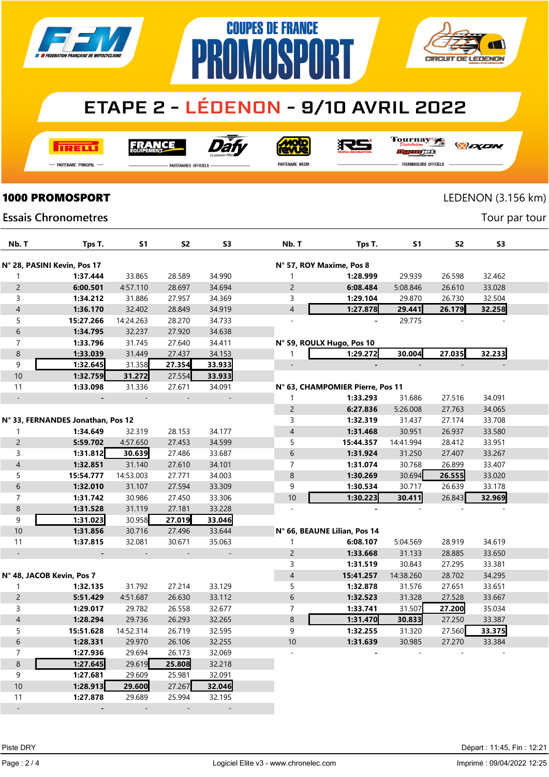

## **ETAPE 2 - LÉDENON - 9/10 AVRIL 2022**

**COUPES DE FRANCE** 

**PROMOSPORT** 

**TRELL** 

**FRANCE** 



**Moto** 

RS

Tournay rac

*DEXEN* 

**CIRCUIT DE LEDENON** 

-<br>Partenaire Principal

.<br>PARTENAIRES OFFICIELS

PARTENAIRE MEDIA

FOURNISSEURS OFFICIELS

### **1000 PROMOSPORT** LEDENON (3.156 km)

 $\blacksquare$ 

Tour par tour

#### **Essais Chronometres**

|                          |                                   | <b>S1</b>      |                |                          |                          |                                  |           |                | S <sub>3</sub> |  |
|--------------------------|-----------------------------------|----------------|----------------|--------------------------|--------------------------|----------------------------------|-----------|----------------|----------------|--|
| Nb. T                    | Tps T.                            |                | S <sub>2</sub> | S3                       | Nb. T                    | Tps T.                           | S1        | S <sub>2</sub> |                |  |
|                          | N° 28, PASINI Kevin, Pos 17       |                |                |                          | N° 57, ROY Maxime, Pos 8 |                                  |           |                |                |  |
| 1                        | 1:37.444                          | 33.865         | 28.589         | 34.990                   | 1                        | 1:28.999                         | 29.939    | 26.598         | 32.462         |  |
| $\overline{c}$           | 6:00.501                          | 4:57.110       | 28.697         | 34.694                   | $\overline{c}$           | 6:08.484                         | 5:08.846  | 26.610         | 33.028         |  |
| 3                        | 1:34.212                          | 31.886         | 27.957         | 34.369                   | 3                        | 1:29.104                         | 29.870    | 26.730         | 32.504         |  |
| $\overline{\mathcal{L}}$ | 1:36.170                          | 32.402         | 28.849         | 34.919                   | $\overline{4}$           | 1:27.878                         | 29.441    | 26.179         | 32.258         |  |
| 5                        | 15:27.266                         | 14:24.263      | 28.270         | 34.733                   | L.                       |                                  | 29.775    |                |                |  |
| 6                        | 1:34.795                          | 32.237         | 27.920         | 34.638                   |                          |                                  |           |                |                |  |
| $\overline{7}$           | 1:33.796                          | 31.745         | 27.640         | 34.411                   |                          | N° 59, ROULX Hugo, Pos 10        |           |                |                |  |
| $\bf 8$                  | 1:33.039                          | 31.449         | 27.437         | 34.153                   | 1                        | 1:29.272                         | 30.004    | 27.035         | 32.233         |  |
| 9                        | 1:32.645                          | 31.358         | 27.354         | 33.933                   | $\overline{\phantom{a}}$ | $\overline{a}$                   |           |                |                |  |
| $10\,$                   | 1:32.759                          | 31.272         | 27.554         | 33.933                   |                          |                                  |           |                |                |  |
| 11                       | 1:33.098                          | 31.336         | 27.671         | 34.091                   |                          | N° 63, CHAMPOMIER Pierre, Pos 11 |           |                |                |  |
| $\Box$                   | $\overline{\phantom{a}}$          | $\blacksquare$ | $\overline{a}$ | $\overline{\phantom{a}}$ | 1                        | 1:33.293                         | 31.686    | 27.516         | 34.091         |  |
|                          |                                   |                |                |                          | $\overline{c}$           | 6:27.836                         | 5:26.008  | 27.763         | 34.065         |  |
|                          | N° 33, FERNANDES Jonathan, Pos 12 |                |                |                          | 3                        | 1:32.319                         | 31.437    | 27.174         | 33.708         |  |
| 1                        | 1:34.649                          | 32.319         | 28.153         | 34.177                   | $\overline{\mathcal{A}}$ | 1:31.468                         | 30.951    | 26.937         | 33.580         |  |
| $\overline{c}$           | 5:59.702                          | 4:57.650       | 27.453         | 34.599                   | 5                        | 15:44.357                        | 14:41.994 | 28.412         | 33.951         |  |
| 3                        | 1:31.812                          | 30.639         | 27.486         | 33.687                   | 6                        | 1:31.924                         | 31.250    | 27.407         | 33.267         |  |
| $\overline{\mathcal{L}}$ | 1:32.851                          | 31.140         | 27.610         | 34.101                   | $\boldsymbol{7}$         | 1:31.074                         | 30.768    | 26.899         | 33.407         |  |
| 5                        | 15:54.777                         | 14:53.003      | 27.771         | 34.003                   | 8                        | 1:30.269                         | 30.694    | 26.555         | 33.020         |  |
| 6                        | 1:32.010                          | 31.107         | 27.594         | 33.309                   | 9                        | 1:30.534                         | 30.717    | 26.639         | 33.178         |  |
| $\overline{7}$           | 1:31.742                          | 30.986         | 27.450         | 33.306                   | 10                       | 1:30.223                         | 30.411    | 26.843         | 32.969         |  |
| $\,8\,$                  | 1:31.528                          | 31.119         | 27.181         | 33.228                   |                          |                                  |           |                |                |  |
| 9                        | 1:31.023                          | 30.958         | 27.019         | 33.046                   |                          |                                  |           |                |                |  |
| $10$                     | 1:31.856                          | 30.716         | 27.496         | 33.644                   |                          | N° 66, BEAUNE Lilian, Pos 14     |           |                |                |  |
| 11                       | 1:37.815                          | 32.081         | 30.671         | 35.063                   | 1                        | 6:08.107                         | 5:04.569  | 28.919         | 34.619         |  |
| $\Box$                   |                                   |                |                | $\equiv$                 | $\overline{c}$           | 1:33.668                         | 31.133    | 28.885         | 33.650         |  |
|                          |                                   |                |                |                          | 3                        | 1:31.519                         | 30.843    | 27.295         | 33.381         |  |
|                          | N° 48, JACOB Kevin, Pos 7         |                |                |                          | $\overline{\mathcal{L}}$ | 15:41.257                        | 14:38.260 | 28.702         | 34.295         |  |
| 1                        | 1:32.135                          | 31.792         | 27.214         | 33.129                   | 5                        | 1:32.878                         | 31.576    | 27.651         | 33.651         |  |
| $\overline{c}$           | 5:51.429                          | 4:51.687       | 26.630         | 33.112                   | 6                        | 1:32.523                         | 31.328    | 27.528         | 33.667         |  |
| 3                        | 1:29.017                          | 29.782         | 26.558         | 32.677                   | $\overline{7}$           | 1:33.741                         | 31.507    | 27.200         | 35.034         |  |
| $\overline{\mathcal{L}}$ | 1:28.294                          | 29.736         | 26.293         | 32.265                   | 8                        | 1:31.470                         | 30.833    | 27.250         | 33.387         |  |
| 5                        | 15:51.628                         | 14:52.314      | 26.719         | 32.595                   | 9                        | 1:32.255                         | 31.320    | 27.560         | 33.375         |  |
| 6                        | 1:28.331                          | 29.970         | 26.106         | 32.255                   | 10                       | 1:31.639                         | 30.985    | 27.270         | 33.384         |  |
| $\overline{7}$           | 1:27.936                          | 29.694         | 26.173         | 32.069                   |                          |                                  |           |                |                |  |
| 8                        | 1:27.645                          | 29.619         | 25.808         | 32.218                   |                          |                                  |           |                |                |  |
| 9                        | 1:27.681                          | 29.609         | 25.981         | 32.091                   |                          |                                  |           |                |                |  |
| 10                       | 1:28.913                          | 29.600         | 27.267         | 32.046                   |                          |                                  |           |                |                |  |
| 11                       | 1:27.878                          | 29.689         | 25.994         | 32.195                   |                          |                                  |           |                |                |  |
| $\overline{a}$           | $\blacksquare$                    |                | L,             | $\overline{\phantom{a}}$ |                          |                                  |           |                |                |  |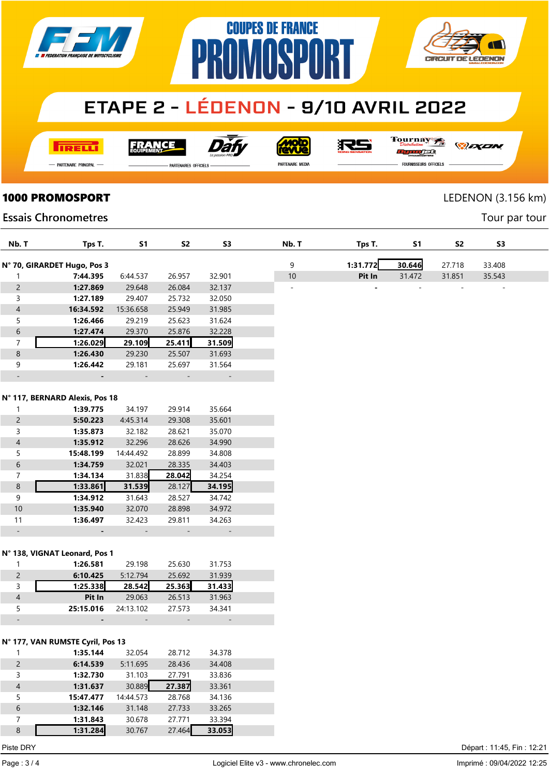

# **ETAPE 2 - LÉDENON - 9/10 AVRIL 2022**

**COUPES DE FRANCE** 

**AMASP** 

**TRELL** 

FRANCE



**MOLO** 

RS

Tournay JEG

*DEXEN* 

**CIRCUIT DE LEDENON** 

- Partenaire Principal

**PARTENAIRES OFFICIELS** 

PR

PARTENAIRE MEDIA

FOURNISSEURS OFFICIELS

Tour par tour

### **1000 PROMOSPORT** LEDENON (3.156 km)

### **Essais Chronometres**

| Nb. T          | Tps T.                         | S <sub>1</sub> | <b>S2</b> | S <sub>3</sub> | Nb. T                    | Tps T.   | <b>S1</b> | <b>S2</b> | S <sub>3</sub> |
|----------------|--------------------------------|----------------|-----------|----------------|--------------------------|----------|-----------|-----------|----------------|
|                | N° 70, GIRARDET Hugo, Pos 3    |                |           |                | 9                        | 1:31.772 | 30.646    | 27.718    | 33.408         |
| 1              | 7:44.395                       | 6:44.537       | 26.957    | 32.901         | $10\,$                   | Pit In   | 31.472    | 31.851    | 35.543         |
| $\mathsf{2}\,$ | 1:27.869                       | 29.648         | 26.084    | 32.137         | $\overline{\phantom{a}}$ |          |           |           |                |
| 3              | 1:27.189                       | 29.407         | 25.732    | 32.050         |                          |          |           |           |                |
| $\overline{4}$ | 16:34.592                      | 15:36.658      | 25.949    | 31.985         |                          |          |           |           |                |
| 5              | 1:26.466                       | 29.219         | 25.623    | 31.624         |                          |          |           |           |                |
| $\sqrt{6}$     | 1:27.474                       | 29.370         | 25.876    | 32.228         |                          |          |           |           |                |
| 7              | 1:26.029                       | 29.109         | 25.411    | 31.509         |                          |          |           |           |                |
| $\,8\,$        | 1:26.430                       | 29.230         | 25.507    | 31.693         |                          |          |           |           |                |
| 9              | 1:26.442                       | 29.181         | 25.697    | 31.564         |                          |          |           |           |                |
|                |                                |                |           |                |                          |          |           |           |                |
|                |                                |                |           |                |                          |          |           |           |                |
|                | N° 117, BERNARD Alexis, Pos 18 |                |           |                |                          |          |           |           |                |
| $\mathbf{1}$   | 1:39.775                       | 34.197         | 29.914    | 35.664         |                          |          |           |           |                |
| $\overline{c}$ | 5:50.223                       | 4:45.314       | 29.308    | 35.601         |                          |          |           |           |                |
| 3              | 1:35.873                       | 32.182         | 28.621    | 35.070         |                          |          |           |           |                |
| $\overline{4}$ | 1:35.912                       | 32.296         | 28.626    | 34.990         |                          |          |           |           |                |
| 5              | 15:48.199                      | 14:44.492      | 28.899    | 34.808         |                          |          |           |           |                |
| $\,$ 6 $\,$    | 1:34.759                       | 32.021         | 28.335    | 34.403         |                          |          |           |           |                |
| 7              | 1:34.134                       | 31.838         | 28.042    | 34.254         |                          |          |           |           |                |
| $\bf 8$        | 1:33.861                       | 31.539         | 28.127    | 34.195         |                          |          |           |           |                |
| 9              | 1:34.912                       | 31.643         | 28.527    | 34.742         |                          |          |           |           |                |
| 10             | 1:35.940                       | 32.070         | 28.898    | 34.972         |                          |          |           |           |                |
| 11             | 1:36.497                       | 32.423         | 29.811    | 34.263         |                          |          |           |           |                |
|                |                                |                |           |                |                          |          |           |           |                |
|                |                                |                |           |                |                          |          |           |           |                |
|                | N° 138, VIGNAT Leonard, Pos 1  |                |           |                |                          |          |           |           |                |
| 1              | 1:26.581                       | 29.198         | 25.630    | 31.753         |                          |          |           |           |                |
| $\overline{c}$ | 6:10.425                       | 5:12.794       | 25.692    | 31.939         |                          |          |           |           |                |

|   | 1:20.JO I | 29. I 90  | 25.03U | 31.733 |  |
|---|-----------|-----------|--------|--------|--|
|   | 6:10.425  | 5:12.794  | 25.692 | 31.939 |  |
|   | 1:25.338  | 28.542    | 25.363 | 31.433 |  |
|   | Pit In    | 29.063    | 26.513 | 31.963 |  |
|   | 25:15.016 | 24:13.102 | 27.573 | 34.341 |  |
| - | -         | -         | -      | -      |  |

#### N° 177, VAN RUMSTE Cyril, Pos 13

|                | 1:35.144  | 32.054    | 28.712 | 34.378 |  |
|----------------|-----------|-----------|--------|--------|--|
| $\overline{2}$ | 6:14.539  | 5:11.695  | 28.436 | 34.408 |  |
| 3              | 1:32.730  | 31.103    | 27.791 | 33.836 |  |
| $\overline{4}$ | 1:31.637  | 30.889    | 27.387 | 33.361 |  |
| 5              | 15:47.477 | 14:44.573 | 28.768 | 34.136 |  |
| 6              | 1:32.146  | 31.148    | 27.733 | 33.265 |  |
| 7              | 1:31.843  | 30.678    | 27.771 | 33.394 |  |
| 8              | 1:31.284  | 30.767    | 27.464 | 33.053 |  |